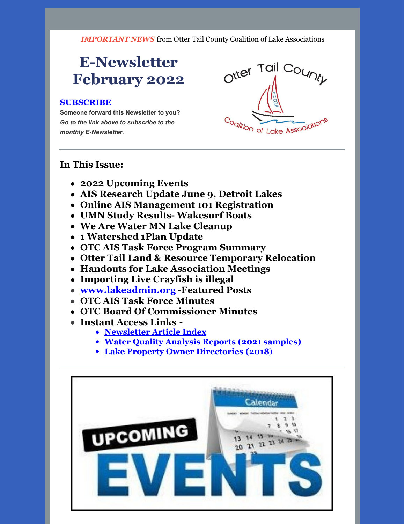*IMPORTANT NEWS* from Otter Tail County Coalition of Lake Associations

## **E-Newsletter February 2022**

#### **[SUBSCRIBE](https://visitor.r20.constantcontact.com/manage/optin?v=0016gC_WI-CN4wJGUJJs_h_8KsqP7MC2fcsEhfdoj_kFGgDyQ3XHJ3YmYowOgAgbwxr_OtkSl70OT0KaCF4hr6hCfMn7SGpQ1-FRzt1EIIqFAiQdmTJ5pPNxZyMeT5JHsn-qhGYgG0AfqJWYtCaA8j-VPqVTxLa0FSjz2nOMPrI28k%3D)**

**Someone forward this Newsletter to you?** *Go to the link above to subscribe to the monthly E-Newsletter.*



#### **In This Issue:**

- **2022 Upcoming Events**
- **AIS Research Update June 9, Detroit Lakes**
- **Online AIS Management 101 Registration**
- **UMN Study Results- Wakesurf Boats**
- **We Are Water MN Lake Cleanup**
- **1 Watershed 1Plan Update**
- **OTC AIS Task Force Program Summary**
- **Otter Tail Land & Resource Temporary Relocation**
- **Handouts for Lake Association Meetings**
- **Importing Live Crayfish is illegal**
- **[www.lakeadmin.org](http://www.lakeadmin.org)** -**Featured Posts**
- **OTC AIS Task Force Minutes**
- **OTC Board Of Commissioner Minutes**
- **Instant Access Links -**
	- **[Newsletter](http://ottertailcountycola.org/newsletter-article-index/) Article Index**
	- **Water Quality Analysis Reports (2021 [samples\)](https://drive.google.com/drive/folders/1oA6fyrRi-Y3ivybRbmdV946LQXNbcm68?usp=sharing)**
	- **Lake Property Owner [Directories](https://drive.google.com/open?id=1GCTdWuN6D8sSS4Iw5CYs7fx7chTky50k) (2018**)

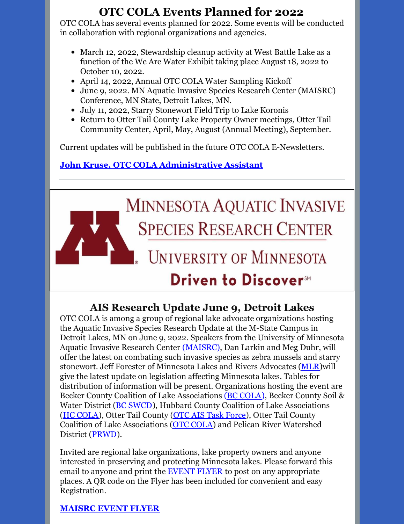## **OTC COLA Events Planned for 2022**

OTC COLA has several events planned for 2022. Some events will be conducted in collaboration with regional organizations and agencies.

- March 12, 2022, Stewardship cleanup activity at West Battle Lake as a function of the We Are Water Exhibit taking place August 18, 2022 to October 10, 2022.
- April 14, 2022, Annual OTC COLA Water Sampling Kickoff
- June 9, 2022. MN Aquatic Invasive Species Research Center (MAISRC) Conference, MN State, Detroit Lakes, MN.
- July 11, 2022, Starry Stonewort Field Trip to Lake Koronis
- Return to Otter Tail County Lake Property Owner meetings, Otter Tail Community Center, April, May, August (Annual Meeting), September.

Current updates will be published in the future OTC COLA E-Newsletters.

## **John Kruse, OTC COLA [Administrative](mailto:otccola2@gmail.com) Assistant**



## **AIS Research Update June 9, Detroit Lakes**

OTC COLA is among a group of regional lake advocate organizations hosting the Aquatic Invasive Species Research Update at the M-State Campus in Detroit Lakes, MN on June 9, 2022. Speakers from the University of Minnesota Aquatic Invasive Research Center [\(MAISRC](https://maisrc.umn.edu/)), Dan Larkin and Meg Duhr, will offer the latest on combating such invasive species as zebra mussels and starry stonewort. Jeff Forester of Minnesota Lakes and Rivers Advocates [\(MLR](https://mnlakesandrivers.org/))will give the latest update on legislation affecting Minnesota lakes. Tables for distribution of information will be present. Organizations hosting the event are Becker County Coalition of Lake Associations (BC [COLA](https://beckercola.org/)), Becker County Soil & Water District (BC [SWCD](https://www.co.becker.mn.us/dept/soil_water/)), Hubbard County Coalition of Lake Associations (HC [COLA](http://www.hubbardcolamn.org/index.html)), Otter Tail County (OTC AIS Task [Force](https://ottertailcountymn.us/department/aquatic-invasive-species/)), Otter Tail County Coalition of Lake Associations (OTC [COLA\)](http://otccola.org/) and Pelican River Watershed District [\(PRWD](https://prwd.org/)).

Invited are regional lake organizations, lake property owners and anyone interested in preserving and protecting Minnesota lakes. Please forward this email to anyone and print the [EVENT](https://drive.google.com/file/d/1BmZ3jlKLvuY7_ijJaGyjc3bysjDchnDU/view) FLYER to post on any appropriate places. A QR code on the Flyer has been included for convenient and easy Registration.

#### **[MAISRC](https://drive.google.com/file/d/1BmZ3jlKLvuY7_ijJaGyjc3bysjDchnDU/view?usp=sharing) EVENT FLYER**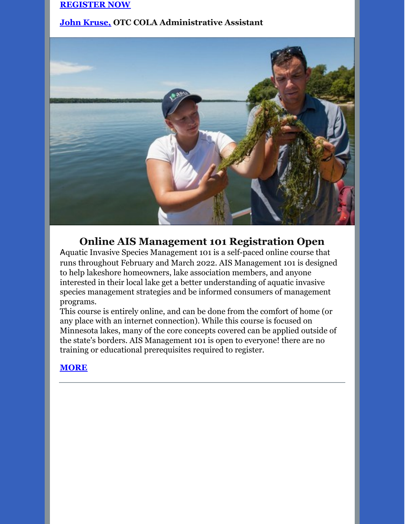#### **[REGISTER](https://events.r20.constantcontact.com/register/eventReg?oeidk=a07ej1ium3xcdb6eea3&oseq=&c=&ch=) NOW**

#### **John [Kruse,](mailto:otccola2@gmail.com) OTC COLA Administrative Assistant**



#### **Online AIS Management 101 Registration Open**

Aquatic Invasive Species Management 101 is a self-paced online course that runs throughout February and March 2022. AIS Management 101 is designed to help lakeshore homeowners, lake association members, and anyone interested in their local lake get a better understanding of aquatic invasive species management strategies and be informed consumers of management programs.

This course is entirely online, and can be done from the comfort of home (or any place with an internet connection). While this course is focused on Minnesota lakes, many of the core concepts covered can be applied outside of the state's borders. AIS Management 101 is open to everyone! there are no training or educational prerequisites required to register.

#### **[MORE](https://drive.google.com/file/d/1OILNdd4OcnnbGMmFfQDneStTueBstKlK/view?usp=sharing)**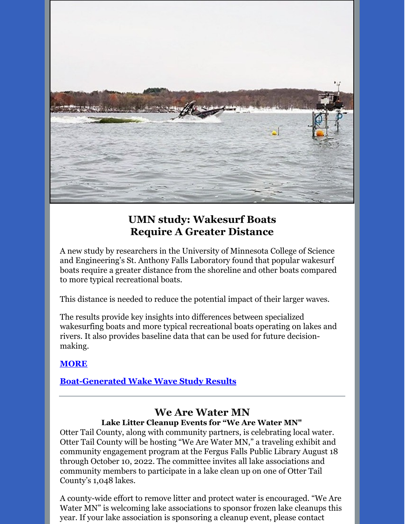

## **UMN study: Wakesurf Boats Require A Greater Distance**

A new study by researchers in the University of Minnesota College of Science and Engineering's St. Anthony Falls Laboratory found that popular wakesurf boats require a greater distance from the shoreline and other boats compared to more typical recreational boats.

This distance is needed to reduce the potential impact of their larger waves.

The results provide key insights into differences between specialized wakesurfing boats and more typical recreational boats operating on lakes and rivers. It also provides baseline data that can be used for future decisionmaking.

#### **[MORE](https://drive.google.com/file/d/13If5tNcgloX1JDdFInpFAvkKfqO5J2ss/view?usp=sharing)**

#### **[Boat-Generated](https://drive.google.com/file/d/1PMeMy-2RgnRM41K3EzRx_OQFCL5Yjl6Y/view?usp=sharing) Wake Wave Study Results**

#### **We Are Water MN Lake Litter Cleanup Events for "We Are Water MN"**

Otter Tail County, along with community partners, is celebrating local water. Otter Tail County will be hosting "We Are Water MN," a traveling exhibit and community engagement program at the Fergus Falls Public Library August 18 through October 10, 2022. The committee invites all lake associations and community members to participate in a lake clean up on one of Otter Tail County's 1,048 lakes.

A county-wide effort to remove litter and protect water is encouraged. "We Are Water MN" is welcoming lake associations to sponsor frozen lake cleanups this year. If your lake association is sponsoring a cleanup event, please contact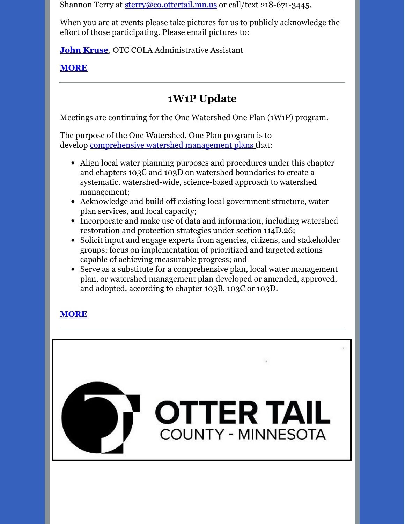Shannon Terry at [sterry@co.ottertail.mn.us](mailto:sterry@co.ottertail.mn.us) or call/text 218-671-3445.

When you are at events please take pictures for us to publicly acknowledge the effort of those participating. Please email pictures to:

**John [Kruse](mailto:otccola2@gmail.com)**, OTC COLA Administrative Assistant

**[MORE](https://drive.google.com/file/d/18KewIlCxmrFdGXupm-hkVKUHlX8EXSbV/view?usp=sharing)**

## **1W1P Update**

Meetings are continuing for the One Watershed One Plan (1W1P) program.

The purpose of the One Watershed, One Plan program is to develop [comprehensive](https://www.revisor.mn.gov/statutes/cite/103B.801) water[s](https://www.revisor.mn.gov/statutes/cite/103B.801)hed management plans that:

- Align local water planning purposes and procedures under this chapter and chapters 103C and 103D on watershed boundaries to create a systematic, watershed-wide, science-based approach to watershed management;
- Acknowledge and build off existing local government structure, water plan services, and local capacity;
- Incorporate and make use of data and information, including watershed restoration and protection strategies under section 114D.26;
- Solicit input and engage experts from agencies, citizens, and stakeholder groups; focus on implementation of prioritized and targeted actions capable of achieving measurable progress; and
- Serve as a substitute for a comprehensive plan, local water management plan, or watershed management plan developed or amended, approved, and adopted, according to chapter 103B, 103C or 103D.

## **[MORE](http://www.bwsr.state.mn.us/one-watershed-one-plan)**

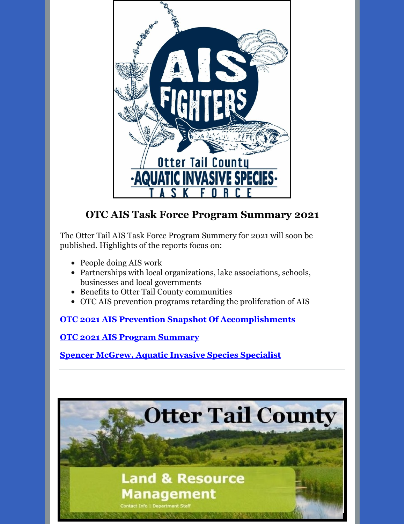

## **OTC AIS Task Force Program Summary 2021**

The Otter Tail AIS Task Force Program Summery for 2021 will soon be published. Highlights of the reports focus on:

- People doing AIS work
- Partnerships with local organizations, lake associations, schools, businesses and local governments
- Benefits to Otter Tail County communities
- OTC AIS prevention programs retarding the proliferation of AIS

**OTC 2021 AIS Prevention Snapshot Of [Accomplishments](https://drive.google.com/file/d/1WZSbCz8gQEK9ToUaSfhKVHM2RR8YA3zR/view?usp=sharing)**

**OTC 2021 AIS Program [Summary](https://drive.google.com/file/d/1DXDbQ2Y_lsuEj5URW6acjP9Kt_PRt7HF/view?usp=sharing)**

**Spencer McGrew, Aquatic Invasive Species [Specialist](mailto:smcgrew@co.ottertail.mn.us)**

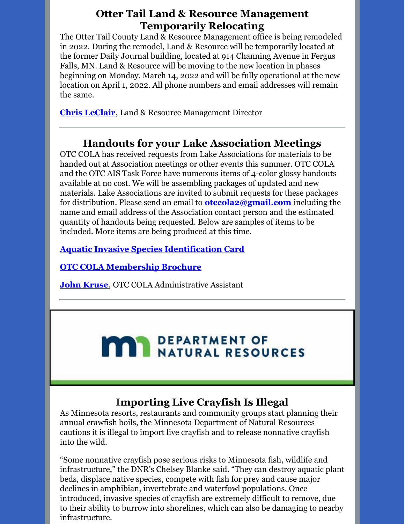### **Otter Tail Land & Resource Management Temporarily Relocating**

The Otter Tail County Land & Resource Management office is being remodeled in 2022. During the remodel, Land & Resource will be temporarily located at the former Daily Journal building, located at 914 Channing Avenue in Fergus Falls, MN. Land & Resource will be moving to the new location in phases beginning on Monday, March 14, 2022 and will be fully operational at the new location on April 1, 2022. All phone numbers and email addresses will remain the same.

**Chris [LeClair](mailto:cleclair@co.ottertail.mn.us),** Land & Resource Management Director

## **Handouts for your Lake Association Meetings**

OTC COLA has received requests from Lake Associations for materials to be handed out at Association meetings or other events this summer. OTC COLA and the OTC AIS Task Force have numerous items of 4-color glossy handouts available at no cost. We will be assembling packages of updated and new materials. Lake Associations are invited to submit requests for these packages for distribution. Please send an email to **otccola2@gmail.com** including the name and email address of the Association contact person and the estimated quantity of handouts being requested. Below are samples of items to be included. More items are being produced at this time.

**Aquatic Invasive Species [Identification](https://drive.google.com/file/d/1aUWzicgGG6baz8JKgs03DhLdllWbyI6_/view?usp=sharing) Card**

**OTC COLA [Membership](https://drive.google.com/file/d/1tXrr7qPbdu57FgRruJJMFV2ord41bZ6c/view?usp=sharing) Brochure**

**John [Kruse](mailto:otccola2@gmail.com)**, OTC COLA Administrative Assistant

# **MAY DEPARTMENT OF NATURAL RESOURCES**

## **Importing Live Crayfish Is Illegal**

As Minnesota resorts, restaurants and community groups start planning their annual crawfish boils, the Minnesota Department of Natural Resources cautions it is illegal to import live crayfish and to release nonnative crayfish into the wild.

"Some nonnative crayfish pose serious risks to Minnesota fish, wildlife and infrastructure," the DNR's Chelsey Blanke said. "They can destroy aquatic plant beds, displace native species, compete with fish for prey and cause major declines in amphibian, invertebrate and waterfowl populations. Once introduced, invasive species of crayfish are extremely difficult to remove, due to their ability to burrow into shorelines, which can also be damaging to nearby infrastructure.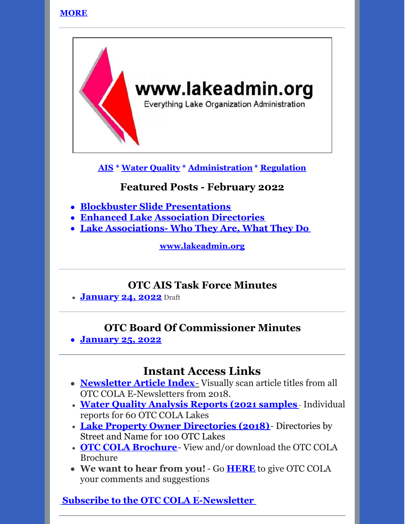#### **[MORE](https://drive.google.com/file/d/1NgPrCFUjjo5qbytsCNlm-8qQFVM1mpah/view?usp=sharing)**



**[AIS](https://lakeadmin.org/category/ais/) \* Water [Quality](https://lakeadmin.org/category/waterquality/) \* [Administration](https://lakeadmin.org/category/administration/) \* [Regulation](https://lakeadmin.org/category/regulation/)**

## **Featured Posts - February 2022**

- **Blockbuster Slide [Presentations](https://lakeadmin.org/blockbusterslidepresentations/)**
- **Enhanced Lake [Association](https://lakeadmin.org/enhancedlakeassociationdirectories2/) Directories**
- **Lake [Associations-](https://lakeadmin.org/minnesotaslakeassociationswhotheyareandwhattheydo/) Who They Are, What They Do**

**[www.lakeadmin.org](http://www.lakeadmin.org/)**

#### **OTC AIS Task Force Minutes**

**[January](https://drive.google.com/file/d/1GHM1JbHi_odMd88u9YhEUoyBLrkXrLLS/view?usp=sharing) 24, 2022** Draft

### **OTC Board Of Commissioner Minutes**

**[January](https://drive.google.com/file/d/1ppKP7TYmZv1ml1_iK5U6pCOxvnZ9VlVe/view?usp=sharing) 25, 2022**

## **Instant Access Links**

- **[Newsletter](http://ottertailcountycola.org/newsletter-article-index/) Article Index**[-](http://ottertailcountycola.org/newsletter-article-index/) Visually scan article titles from all OTC COLA E-Newsletters from 2018.
- **Water Quality [Analysis](https://drive.google.com/drive/folders/1oA6fyrRi-Y3ivybRbmdV946LQXNbcm68?usp=sharing) Reports (2021 samples** Individual reports for 60 OTC COLA Lakes
- **Lake Property Owner [Directories](https://drive.google.com/open?id=1GCTdWuN6D8sSS4Iw5CYs7fx7chTky50k) (2018)** Directories by Street and Name for 100 OTC Lakes
- **OTC COLA [Brochure](https://drive.google.com/file/d/1tXrr7qPbdu57FgRruJJMFV2ord41bZ6c/view)** View and/or download the OTC COLA Brochure
- **We want to hear from you!** Go **[HERE](https://docs.google.com/forms/d/1_MZboIZW-MQjHWOUqNoiWn7LF5UJYDgRdfbq_YjrnbQ/edit)** to give OTC COLA your comments and suggestions

·

## **Subscribe to the OTC COLA [E-Newsletter](https://visitor.r20.constantcontact.com/manage/optin?v=0016gC_WI-CN4wJGUJJs_h_8KsqP7MC2fcs7W09oo_pAVQ1J8LhVLzIBEu4Y05wryo5wL9_Dw-DtniZtwdShRl7vaxtqlwvLHBfglNlDCTnfGl3Mmf7fbD9Etutq4bsOdomX3vXwRa1qTKbkwzBvxir_sI9jo8YH3uaUp8jFsP9MM4%3D&id=preview)**